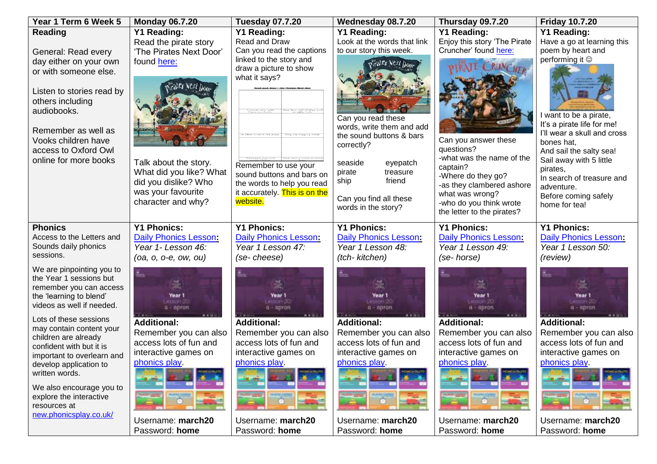| <b>Reading</b><br><b>Y1 Reading:</b><br>Y1 Reading:<br>Y1 Reading:<br><b>Y1 Reading:</b><br><b>Y1 Reading:</b><br>Look at the words that link<br>Read the pirate story<br>Read and Draw<br>Enjoy this story 'The Pirate<br>Have a go at learning this<br>Cruncher' found here:<br>Can you read the captions<br>to our story this week.<br>poem by heart and<br>'The Pirates Next Door'<br>General: Read every<br>linked to the story and<br>performing it $\circledcirc$<br>found here:<br>day either on your own<br>Grater Next Door<br>draw a picture to show<br>or with someone else.<br>what it says?<br>Next Do<br>Listen to stories read by<br>others including<br>audiobooks.<br>I want to be a pirate,<br>Can you read these<br>It's a pirate life for me!<br>words, write them and add<br>Remember as well as<br>I'll wear a skull and cross<br>the sound buttons & bars<br>Can you answer these<br>Vooks children have<br>bones hat.<br>correctly?<br>questions?<br>access to Oxford Owl<br>And sail the salty sea!<br>-what was the name of the<br>Sail away with 5 little<br>online for more books<br>Talk about the story.<br>seaside<br>eyepatch<br>Remember to use your<br>captain?<br>pirates,<br>What did you like? What<br>treasure<br>pirate<br>sound buttons and bars on<br>-Where do they go?<br>In search of treasure and<br>friend<br>ship<br>did you dislike? Who<br>the words to help you read<br>-as they clambered ashore<br>adventure.<br>was your favourite<br>it accurately. This is on the<br>what was wrong?<br>Before coming safely<br>Can you find all these<br>character and why?<br>website.<br>-who do you think wrote<br>home for tea!<br>words in the story?<br>the letter to the pirates?<br><b>Y1 Phonics:</b><br><b>Y1 Phonics:</b><br><b>Y1 Phonics:</b><br><b>Y1 Phonics:</b><br><b>Y1 Phonics:</b><br><b>Phonics</b><br>Access to the Letters and<br><b>Daily Phonics Lesson:</b><br><b>Daily Phonics Lesson:</b><br><b>Daily Phonics Lesson:</b><br><b>Daily Phonics Lesson:</b><br>Daily Phonics Lesson:<br>Sounds daily phonics<br>Year 1- Lesson 46:<br>Year 1 Lesson 47:<br>Year 1 Lesson 48:<br>Year 1 Lesson 49:<br>Year 1 Lesson 50:<br>sessions.<br>(tch- kitchen)<br>(se-cheese)<br>(se-horse)<br>(review)<br>$(oa, o, o-e, ow, ou)$<br>We are pinpointing you to<br>the Year 1 sessions but<br>remember you can access<br>the 'learning to blend'<br>Year 1<br>Year 1<br>Year 1<br>Year 1<br>Year 1<br>mason 20<br><b>100120</b><br><b>FEEDSY 20</b><br>videos as well if needed.<br>$a - a$ pron<br>a - apron<br>a - apron<br>$a - a$ pron<br>a - apron<br>Lots of these sessions<br><b>Additional:</b><br><b>Additional:</b><br><b>Additional:</b><br><b>Additional:</b><br><b>Additional:</b><br>may contain content your<br>Remember you can also<br>Remember you can also<br>Remember you can also<br>Remember you can also<br>Remember you can also<br>children are already<br>access lots of fun and<br>access lots of fun and<br>access lots of fun and<br>access lots of fun and<br>access lots of fun and<br>confident with but it is<br>interactive games on<br>interactive games on<br>interactive games on<br>interactive games on<br>interactive games on<br>important to overlearn and<br>phonics play.<br>phonics play.<br>phonics play<br>phonics play.<br>phonics play.<br>develop application to<br>written words.<br>We also encourage you to<br>explore the interactive<br>resources at<br>new.phonicsplay.co.uk/<br>Username: march20<br>Username: march20<br>Username: march20<br>Username: march20<br>Username: march20<br>Password: home<br>Password: home<br>Password: home<br>Password: home<br>Password: home | Year 1 Term 6 Week 5 | <b>Monday 06.7.20</b> | <b>Tuesday 07.7.20</b> | Wednesday 08.7.20 | Thursday 09.7.20 | <b>Friday 10.7.20</b> |
|---------------------------------------------------------------------------------------------------------------------------------------------------------------------------------------------------------------------------------------------------------------------------------------------------------------------------------------------------------------------------------------------------------------------------------------------------------------------------------------------------------------------------------------------------------------------------------------------------------------------------------------------------------------------------------------------------------------------------------------------------------------------------------------------------------------------------------------------------------------------------------------------------------------------------------------------------------------------------------------------------------------------------------------------------------------------------------------------------------------------------------------------------------------------------------------------------------------------------------------------------------------------------------------------------------------------------------------------------------------------------------------------------------------------------------------------------------------------------------------------------------------------------------------------------------------------------------------------------------------------------------------------------------------------------------------------------------------------------------------------------------------------------------------------------------------------------------------------------------------------------------------------------------------------------------------------------------------------------------------------------------------------------------------------------------------------------------------------------------------------------------------------------------------------------------------------------------------------------------------------------------------------------------------------------------------------------------------------------------------------------------------------------------------------------------------------------------------------------------------------------------------------------------------------------------------------------------------------------------------------------------------------------------------------------------------------------------------------------------------------------------------------------------------------------------------------------------------------------------------------------------------------------------------------------------------------------------------------------------------------------------------------------------------------------------------------------------------------------------------------------------------------------------------------------------------------------------------------------------------------------------------------------------------------------------------------------------------------------------------------------------------------------------------------------------------------------------------------------------------------------------------------------------------------------------------------------------------------------------------------------------------------------------------------------------------------------|----------------------|-----------------------|------------------------|-------------------|------------------|-----------------------|
|                                                                                                                                                                                                                                                                                                                                                                                                                                                                                                                                                                                                                                                                                                                                                                                                                                                                                                                                                                                                                                                                                                                                                                                                                                                                                                                                                                                                                                                                                                                                                                                                                                                                                                                                                                                                                                                                                                                                                                                                                                                                                                                                                                                                                                                                                                                                                                                                                                                                                                                                                                                                                                                                                                                                                                                                                                                                                                                                                                                                                                                                                                                                                                                                                                                                                                                                                                                                                                                                                                                                                                                                                                                                                                   |                      |                       |                        |                   |                  |                       |
|                                                                                                                                                                                                                                                                                                                                                                                                                                                                                                                                                                                                                                                                                                                                                                                                                                                                                                                                                                                                                                                                                                                                                                                                                                                                                                                                                                                                                                                                                                                                                                                                                                                                                                                                                                                                                                                                                                                                                                                                                                                                                                                                                                                                                                                                                                                                                                                                                                                                                                                                                                                                                                                                                                                                                                                                                                                                                                                                                                                                                                                                                                                                                                                                                                                                                                                                                                                                                                                                                                                                                                                                                                                                                                   |                      |                       |                        |                   |                  |                       |
|                                                                                                                                                                                                                                                                                                                                                                                                                                                                                                                                                                                                                                                                                                                                                                                                                                                                                                                                                                                                                                                                                                                                                                                                                                                                                                                                                                                                                                                                                                                                                                                                                                                                                                                                                                                                                                                                                                                                                                                                                                                                                                                                                                                                                                                                                                                                                                                                                                                                                                                                                                                                                                                                                                                                                                                                                                                                                                                                                                                                                                                                                                                                                                                                                                                                                                                                                                                                                                                                                                                                                                                                                                                                                                   |                      |                       |                        |                   |                  |                       |
|                                                                                                                                                                                                                                                                                                                                                                                                                                                                                                                                                                                                                                                                                                                                                                                                                                                                                                                                                                                                                                                                                                                                                                                                                                                                                                                                                                                                                                                                                                                                                                                                                                                                                                                                                                                                                                                                                                                                                                                                                                                                                                                                                                                                                                                                                                                                                                                                                                                                                                                                                                                                                                                                                                                                                                                                                                                                                                                                                                                                                                                                                                                                                                                                                                                                                                                                                                                                                                                                                                                                                                                                                                                                                                   |                      |                       |                        |                   |                  |                       |
|                                                                                                                                                                                                                                                                                                                                                                                                                                                                                                                                                                                                                                                                                                                                                                                                                                                                                                                                                                                                                                                                                                                                                                                                                                                                                                                                                                                                                                                                                                                                                                                                                                                                                                                                                                                                                                                                                                                                                                                                                                                                                                                                                                                                                                                                                                                                                                                                                                                                                                                                                                                                                                                                                                                                                                                                                                                                                                                                                                                                                                                                                                                                                                                                                                                                                                                                                                                                                                                                                                                                                                                                                                                                                                   |                      |                       |                        |                   |                  |                       |
|                                                                                                                                                                                                                                                                                                                                                                                                                                                                                                                                                                                                                                                                                                                                                                                                                                                                                                                                                                                                                                                                                                                                                                                                                                                                                                                                                                                                                                                                                                                                                                                                                                                                                                                                                                                                                                                                                                                                                                                                                                                                                                                                                                                                                                                                                                                                                                                                                                                                                                                                                                                                                                                                                                                                                                                                                                                                                                                                                                                                                                                                                                                                                                                                                                                                                                                                                                                                                                                                                                                                                                                                                                                                                                   |                      |                       |                        |                   |                  |                       |
|                                                                                                                                                                                                                                                                                                                                                                                                                                                                                                                                                                                                                                                                                                                                                                                                                                                                                                                                                                                                                                                                                                                                                                                                                                                                                                                                                                                                                                                                                                                                                                                                                                                                                                                                                                                                                                                                                                                                                                                                                                                                                                                                                                                                                                                                                                                                                                                                                                                                                                                                                                                                                                                                                                                                                                                                                                                                                                                                                                                                                                                                                                                                                                                                                                                                                                                                                                                                                                                                                                                                                                                                                                                                                                   |                      |                       |                        |                   |                  |                       |
|                                                                                                                                                                                                                                                                                                                                                                                                                                                                                                                                                                                                                                                                                                                                                                                                                                                                                                                                                                                                                                                                                                                                                                                                                                                                                                                                                                                                                                                                                                                                                                                                                                                                                                                                                                                                                                                                                                                                                                                                                                                                                                                                                                                                                                                                                                                                                                                                                                                                                                                                                                                                                                                                                                                                                                                                                                                                                                                                                                                                                                                                                                                                                                                                                                                                                                                                                                                                                                                                                                                                                                                                                                                                                                   |                      |                       |                        |                   |                  |                       |
|                                                                                                                                                                                                                                                                                                                                                                                                                                                                                                                                                                                                                                                                                                                                                                                                                                                                                                                                                                                                                                                                                                                                                                                                                                                                                                                                                                                                                                                                                                                                                                                                                                                                                                                                                                                                                                                                                                                                                                                                                                                                                                                                                                                                                                                                                                                                                                                                                                                                                                                                                                                                                                                                                                                                                                                                                                                                                                                                                                                                                                                                                                                                                                                                                                                                                                                                                                                                                                                                                                                                                                                                                                                                                                   |                      |                       |                        |                   |                  |                       |
|                                                                                                                                                                                                                                                                                                                                                                                                                                                                                                                                                                                                                                                                                                                                                                                                                                                                                                                                                                                                                                                                                                                                                                                                                                                                                                                                                                                                                                                                                                                                                                                                                                                                                                                                                                                                                                                                                                                                                                                                                                                                                                                                                                                                                                                                                                                                                                                                                                                                                                                                                                                                                                                                                                                                                                                                                                                                                                                                                                                                                                                                                                                                                                                                                                                                                                                                                                                                                                                                                                                                                                                                                                                                                                   |                      |                       |                        |                   |                  |                       |
|                                                                                                                                                                                                                                                                                                                                                                                                                                                                                                                                                                                                                                                                                                                                                                                                                                                                                                                                                                                                                                                                                                                                                                                                                                                                                                                                                                                                                                                                                                                                                                                                                                                                                                                                                                                                                                                                                                                                                                                                                                                                                                                                                                                                                                                                                                                                                                                                                                                                                                                                                                                                                                                                                                                                                                                                                                                                                                                                                                                                                                                                                                                                                                                                                                                                                                                                                                                                                                                                                                                                                                                                                                                                                                   |                      |                       |                        |                   |                  |                       |
|                                                                                                                                                                                                                                                                                                                                                                                                                                                                                                                                                                                                                                                                                                                                                                                                                                                                                                                                                                                                                                                                                                                                                                                                                                                                                                                                                                                                                                                                                                                                                                                                                                                                                                                                                                                                                                                                                                                                                                                                                                                                                                                                                                                                                                                                                                                                                                                                                                                                                                                                                                                                                                                                                                                                                                                                                                                                                                                                                                                                                                                                                                                                                                                                                                                                                                                                                                                                                                                                                                                                                                                                                                                                                                   |                      |                       |                        |                   |                  |                       |
|                                                                                                                                                                                                                                                                                                                                                                                                                                                                                                                                                                                                                                                                                                                                                                                                                                                                                                                                                                                                                                                                                                                                                                                                                                                                                                                                                                                                                                                                                                                                                                                                                                                                                                                                                                                                                                                                                                                                                                                                                                                                                                                                                                                                                                                                                                                                                                                                                                                                                                                                                                                                                                                                                                                                                                                                                                                                                                                                                                                                                                                                                                                                                                                                                                                                                                                                                                                                                                                                                                                                                                                                                                                                                                   |                      |                       |                        |                   |                  |                       |
|                                                                                                                                                                                                                                                                                                                                                                                                                                                                                                                                                                                                                                                                                                                                                                                                                                                                                                                                                                                                                                                                                                                                                                                                                                                                                                                                                                                                                                                                                                                                                                                                                                                                                                                                                                                                                                                                                                                                                                                                                                                                                                                                                                                                                                                                                                                                                                                                                                                                                                                                                                                                                                                                                                                                                                                                                                                                                                                                                                                                                                                                                                                                                                                                                                                                                                                                                                                                                                                                                                                                                                                                                                                                                                   |                      |                       |                        |                   |                  |                       |
|                                                                                                                                                                                                                                                                                                                                                                                                                                                                                                                                                                                                                                                                                                                                                                                                                                                                                                                                                                                                                                                                                                                                                                                                                                                                                                                                                                                                                                                                                                                                                                                                                                                                                                                                                                                                                                                                                                                                                                                                                                                                                                                                                                                                                                                                                                                                                                                                                                                                                                                                                                                                                                                                                                                                                                                                                                                                                                                                                                                                                                                                                                                                                                                                                                                                                                                                                                                                                                                                                                                                                                                                                                                                                                   |                      |                       |                        |                   |                  |                       |
|                                                                                                                                                                                                                                                                                                                                                                                                                                                                                                                                                                                                                                                                                                                                                                                                                                                                                                                                                                                                                                                                                                                                                                                                                                                                                                                                                                                                                                                                                                                                                                                                                                                                                                                                                                                                                                                                                                                                                                                                                                                                                                                                                                                                                                                                                                                                                                                                                                                                                                                                                                                                                                                                                                                                                                                                                                                                                                                                                                                                                                                                                                                                                                                                                                                                                                                                                                                                                                                                                                                                                                                                                                                                                                   |                      |                       |                        |                   |                  |                       |
|                                                                                                                                                                                                                                                                                                                                                                                                                                                                                                                                                                                                                                                                                                                                                                                                                                                                                                                                                                                                                                                                                                                                                                                                                                                                                                                                                                                                                                                                                                                                                                                                                                                                                                                                                                                                                                                                                                                                                                                                                                                                                                                                                                                                                                                                                                                                                                                                                                                                                                                                                                                                                                                                                                                                                                                                                                                                                                                                                                                                                                                                                                                                                                                                                                                                                                                                                                                                                                                                                                                                                                                                                                                                                                   |                      |                       |                        |                   |                  |                       |
|                                                                                                                                                                                                                                                                                                                                                                                                                                                                                                                                                                                                                                                                                                                                                                                                                                                                                                                                                                                                                                                                                                                                                                                                                                                                                                                                                                                                                                                                                                                                                                                                                                                                                                                                                                                                                                                                                                                                                                                                                                                                                                                                                                                                                                                                                                                                                                                                                                                                                                                                                                                                                                                                                                                                                                                                                                                                                                                                                                                                                                                                                                                                                                                                                                                                                                                                                                                                                                                                                                                                                                                                                                                                                                   |                      |                       |                        |                   |                  |                       |
|                                                                                                                                                                                                                                                                                                                                                                                                                                                                                                                                                                                                                                                                                                                                                                                                                                                                                                                                                                                                                                                                                                                                                                                                                                                                                                                                                                                                                                                                                                                                                                                                                                                                                                                                                                                                                                                                                                                                                                                                                                                                                                                                                                                                                                                                                                                                                                                                                                                                                                                                                                                                                                                                                                                                                                                                                                                                                                                                                                                                                                                                                                                                                                                                                                                                                                                                                                                                                                                                                                                                                                                                                                                                                                   |                      |                       |                        |                   |                  |                       |
|                                                                                                                                                                                                                                                                                                                                                                                                                                                                                                                                                                                                                                                                                                                                                                                                                                                                                                                                                                                                                                                                                                                                                                                                                                                                                                                                                                                                                                                                                                                                                                                                                                                                                                                                                                                                                                                                                                                                                                                                                                                                                                                                                                                                                                                                                                                                                                                                                                                                                                                                                                                                                                                                                                                                                                                                                                                                                                                                                                                                                                                                                                                                                                                                                                                                                                                                                                                                                                                                                                                                                                                                                                                                                                   |                      |                       |                        |                   |                  |                       |
|                                                                                                                                                                                                                                                                                                                                                                                                                                                                                                                                                                                                                                                                                                                                                                                                                                                                                                                                                                                                                                                                                                                                                                                                                                                                                                                                                                                                                                                                                                                                                                                                                                                                                                                                                                                                                                                                                                                                                                                                                                                                                                                                                                                                                                                                                                                                                                                                                                                                                                                                                                                                                                                                                                                                                                                                                                                                                                                                                                                                                                                                                                                                                                                                                                                                                                                                                                                                                                                                                                                                                                                                                                                                                                   |                      |                       |                        |                   |                  |                       |
|                                                                                                                                                                                                                                                                                                                                                                                                                                                                                                                                                                                                                                                                                                                                                                                                                                                                                                                                                                                                                                                                                                                                                                                                                                                                                                                                                                                                                                                                                                                                                                                                                                                                                                                                                                                                                                                                                                                                                                                                                                                                                                                                                                                                                                                                                                                                                                                                                                                                                                                                                                                                                                                                                                                                                                                                                                                                                                                                                                                                                                                                                                                                                                                                                                                                                                                                                                                                                                                                                                                                                                                                                                                                                                   |                      |                       |                        |                   |                  |                       |
|                                                                                                                                                                                                                                                                                                                                                                                                                                                                                                                                                                                                                                                                                                                                                                                                                                                                                                                                                                                                                                                                                                                                                                                                                                                                                                                                                                                                                                                                                                                                                                                                                                                                                                                                                                                                                                                                                                                                                                                                                                                                                                                                                                                                                                                                                                                                                                                                                                                                                                                                                                                                                                                                                                                                                                                                                                                                                                                                                                                                                                                                                                                                                                                                                                                                                                                                                                                                                                                                                                                                                                                                                                                                                                   |                      |                       |                        |                   |                  |                       |
|                                                                                                                                                                                                                                                                                                                                                                                                                                                                                                                                                                                                                                                                                                                                                                                                                                                                                                                                                                                                                                                                                                                                                                                                                                                                                                                                                                                                                                                                                                                                                                                                                                                                                                                                                                                                                                                                                                                                                                                                                                                                                                                                                                                                                                                                                                                                                                                                                                                                                                                                                                                                                                                                                                                                                                                                                                                                                                                                                                                                                                                                                                                                                                                                                                                                                                                                                                                                                                                                                                                                                                                                                                                                                                   |                      |                       |                        |                   |                  |                       |
|                                                                                                                                                                                                                                                                                                                                                                                                                                                                                                                                                                                                                                                                                                                                                                                                                                                                                                                                                                                                                                                                                                                                                                                                                                                                                                                                                                                                                                                                                                                                                                                                                                                                                                                                                                                                                                                                                                                                                                                                                                                                                                                                                                                                                                                                                                                                                                                                                                                                                                                                                                                                                                                                                                                                                                                                                                                                                                                                                                                                                                                                                                                                                                                                                                                                                                                                                                                                                                                                                                                                                                                                                                                                                                   |                      |                       |                        |                   |                  |                       |
|                                                                                                                                                                                                                                                                                                                                                                                                                                                                                                                                                                                                                                                                                                                                                                                                                                                                                                                                                                                                                                                                                                                                                                                                                                                                                                                                                                                                                                                                                                                                                                                                                                                                                                                                                                                                                                                                                                                                                                                                                                                                                                                                                                                                                                                                                                                                                                                                                                                                                                                                                                                                                                                                                                                                                                                                                                                                                                                                                                                                                                                                                                                                                                                                                                                                                                                                                                                                                                                                                                                                                                                                                                                                                                   |                      |                       |                        |                   |                  |                       |
|                                                                                                                                                                                                                                                                                                                                                                                                                                                                                                                                                                                                                                                                                                                                                                                                                                                                                                                                                                                                                                                                                                                                                                                                                                                                                                                                                                                                                                                                                                                                                                                                                                                                                                                                                                                                                                                                                                                                                                                                                                                                                                                                                                                                                                                                                                                                                                                                                                                                                                                                                                                                                                                                                                                                                                                                                                                                                                                                                                                                                                                                                                                                                                                                                                                                                                                                                                                                                                                                                                                                                                                                                                                                                                   |                      |                       |                        |                   |                  |                       |
|                                                                                                                                                                                                                                                                                                                                                                                                                                                                                                                                                                                                                                                                                                                                                                                                                                                                                                                                                                                                                                                                                                                                                                                                                                                                                                                                                                                                                                                                                                                                                                                                                                                                                                                                                                                                                                                                                                                                                                                                                                                                                                                                                                                                                                                                                                                                                                                                                                                                                                                                                                                                                                                                                                                                                                                                                                                                                                                                                                                                                                                                                                                                                                                                                                                                                                                                                                                                                                                                                                                                                                                                                                                                                                   |                      |                       |                        |                   |                  |                       |
|                                                                                                                                                                                                                                                                                                                                                                                                                                                                                                                                                                                                                                                                                                                                                                                                                                                                                                                                                                                                                                                                                                                                                                                                                                                                                                                                                                                                                                                                                                                                                                                                                                                                                                                                                                                                                                                                                                                                                                                                                                                                                                                                                                                                                                                                                                                                                                                                                                                                                                                                                                                                                                                                                                                                                                                                                                                                                                                                                                                                                                                                                                                                                                                                                                                                                                                                                                                                                                                                                                                                                                                                                                                                                                   |                      |                       |                        |                   |                  |                       |
|                                                                                                                                                                                                                                                                                                                                                                                                                                                                                                                                                                                                                                                                                                                                                                                                                                                                                                                                                                                                                                                                                                                                                                                                                                                                                                                                                                                                                                                                                                                                                                                                                                                                                                                                                                                                                                                                                                                                                                                                                                                                                                                                                                                                                                                                                                                                                                                                                                                                                                                                                                                                                                                                                                                                                                                                                                                                                                                                                                                                                                                                                                                                                                                                                                                                                                                                                                                                                                                                                                                                                                                                                                                                                                   |                      |                       |                        |                   |                  |                       |
|                                                                                                                                                                                                                                                                                                                                                                                                                                                                                                                                                                                                                                                                                                                                                                                                                                                                                                                                                                                                                                                                                                                                                                                                                                                                                                                                                                                                                                                                                                                                                                                                                                                                                                                                                                                                                                                                                                                                                                                                                                                                                                                                                                                                                                                                                                                                                                                                                                                                                                                                                                                                                                                                                                                                                                                                                                                                                                                                                                                                                                                                                                                                                                                                                                                                                                                                                                                                                                                                                                                                                                                                                                                                                                   |                      |                       |                        |                   |                  |                       |
|                                                                                                                                                                                                                                                                                                                                                                                                                                                                                                                                                                                                                                                                                                                                                                                                                                                                                                                                                                                                                                                                                                                                                                                                                                                                                                                                                                                                                                                                                                                                                                                                                                                                                                                                                                                                                                                                                                                                                                                                                                                                                                                                                                                                                                                                                                                                                                                                                                                                                                                                                                                                                                                                                                                                                                                                                                                                                                                                                                                                                                                                                                                                                                                                                                                                                                                                                                                                                                                                                                                                                                                                                                                                                                   |                      |                       |                        |                   |                  |                       |
|                                                                                                                                                                                                                                                                                                                                                                                                                                                                                                                                                                                                                                                                                                                                                                                                                                                                                                                                                                                                                                                                                                                                                                                                                                                                                                                                                                                                                                                                                                                                                                                                                                                                                                                                                                                                                                                                                                                                                                                                                                                                                                                                                                                                                                                                                                                                                                                                                                                                                                                                                                                                                                                                                                                                                                                                                                                                                                                                                                                                                                                                                                                                                                                                                                                                                                                                                                                                                                                                                                                                                                                                                                                                                                   |                      |                       |                        |                   |                  |                       |
|                                                                                                                                                                                                                                                                                                                                                                                                                                                                                                                                                                                                                                                                                                                                                                                                                                                                                                                                                                                                                                                                                                                                                                                                                                                                                                                                                                                                                                                                                                                                                                                                                                                                                                                                                                                                                                                                                                                                                                                                                                                                                                                                                                                                                                                                                                                                                                                                                                                                                                                                                                                                                                                                                                                                                                                                                                                                                                                                                                                                                                                                                                                                                                                                                                                                                                                                                                                                                                                                                                                                                                                                                                                                                                   |                      |                       |                        |                   |                  |                       |
|                                                                                                                                                                                                                                                                                                                                                                                                                                                                                                                                                                                                                                                                                                                                                                                                                                                                                                                                                                                                                                                                                                                                                                                                                                                                                                                                                                                                                                                                                                                                                                                                                                                                                                                                                                                                                                                                                                                                                                                                                                                                                                                                                                                                                                                                                                                                                                                                                                                                                                                                                                                                                                                                                                                                                                                                                                                                                                                                                                                                                                                                                                                                                                                                                                                                                                                                                                                                                                                                                                                                                                                                                                                                                                   |                      |                       |                        |                   |                  |                       |
|                                                                                                                                                                                                                                                                                                                                                                                                                                                                                                                                                                                                                                                                                                                                                                                                                                                                                                                                                                                                                                                                                                                                                                                                                                                                                                                                                                                                                                                                                                                                                                                                                                                                                                                                                                                                                                                                                                                                                                                                                                                                                                                                                                                                                                                                                                                                                                                                                                                                                                                                                                                                                                                                                                                                                                                                                                                                                                                                                                                                                                                                                                                                                                                                                                                                                                                                                                                                                                                                                                                                                                                                                                                                                                   |                      |                       |                        |                   |                  |                       |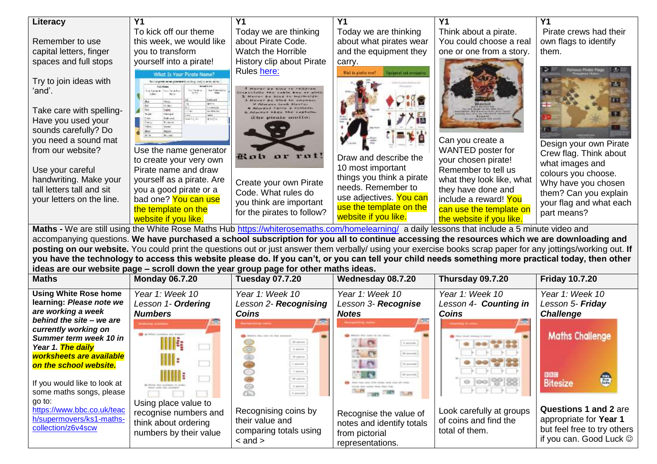| <b>Y1</b><br>Y <sub>1</sub><br><b>Y1</b><br>Literacy<br>Υ1                                                                                                          |                         |  |  |  |  |  |
|---------------------------------------------------------------------------------------------------------------------------------------------------------------------|-------------------------|--|--|--|--|--|
|                                                                                                                                                                     | Υ1                      |  |  |  |  |  |
| To kick off our theme<br>Today we are thinking<br>Think about a pirate.<br>Today we are thinking                                                                    | Pirate crews had their  |  |  |  |  |  |
| about Pirate Code.<br>You could choose a real<br>Remember to use<br>this week, we would like<br>about what pirates wear                                             | own flags to identify   |  |  |  |  |  |
| capital letters, finger<br>you to transform<br>Watch the Horrible<br>and the equipment they<br>one or one from a story.                                             | them.                   |  |  |  |  |  |
| yourself into a pirate!<br>spaces and full stops<br>History clip about Pirate<br>carry.                                                                             |                         |  |  |  |  |  |
| Rules here:<br>Unit de pinirà vesti<br>quipment and accommonie<br>What Is Your Pirate Name?                                                                         |                         |  |  |  |  |  |
| Try to join ideas with<br>that transporter norms apparented to multiples possible parents interest                                                                  | セ                       |  |  |  |  |  |
| ʻand'.<br><b>Road Parish For</b>                                                                                                                                    |                         |  |  |  |  |  |
|                                                                                                                                                                     |                         |  |  |  |  |  |
| Take care with spelling-<br>f(x)<br><b>Genetician der</b>                                                                                                           |                         |  |  |  |  |  |
| private profits<br>508-245<br>Have you used your<br><b>Burnet on</b>                                                                                                |                         |  |  |  |  |  |
| sounds carefully? Do                                                                                                                                                |                         |  |  |  |  |  |
| you need a sound mat<br>Can you create a                                                                                                                            | Design your own Pirate  |  |  |  |  |  |
| WANTED poster for<br>from our website?<br>Use the name generator                                                                                                    | Crew flag. Think about  |  |  |  |  |  |
| Koh or rot!<br>Draw and describe the<br>your chosen pirate!<br>to create your very own                                                                              | what images and         |  |  |  |  |  |
| 10 most important<br>Remember to tell us<br>Pirate name and draw<br>Use your careful                                                                                | colours you choose.     |  |  |  |  |  |
| things you think a pirate<br>handwriting. Make your<br>what they look like, what<br>yourself as a pirate. Are<br>Create your own Pirate                             | Why have you chosen     |  |  |  |  |  |
| needs. Remember to<br>they have done and<br>tall letters tall and sit<br>you a good pirate or a<br>Code. What rules do                                              | them? Can you explain   |  |  |  |  |  |
| use adjectives. You can<br>include a reward! You<br>bad one? You can use<br>your letters on the line.<br>you think are important                                    | your flag and what each |  |  |  |  |  |
| use the template on the<br>can use the template on<br>the template on the<br>for the pirates to follow?                                                             | part means?             |  |  |  |  |  |
| website if you like.<br>the website if you like.<br>website if you like.                                                                                            |                         |  |  |  |  |  |
| Maths - We are still using the White Rose Maths Hub https://whiterosemaths.com/homelearning/ a daily lessons that include a 5 minute video and                      |                         |  |  |  |  |  |
| accompanying questions. We have purchased a school subscription for you all to continue accessing the resources which we are downloading and                        |                         |  |  |  |  |  |
| posting on our website. You could print the questions out or just answer them verbally/ using your exercise books scrap paper for any jottings/working out. If      |                         |  |  |  |  |  |
| you have the technology to access this website please do. If you can't, or you can tell your child needs something more practical today, then other                 |                         |  |  |  |  |  |
| ideas are our website page - scroll down the year group page for other maths ideas.                                                                                 |                         |  |  |  |  |  |
| <b>Maths</b><br><b>Monday 06.7.20</b><br><b>Tuesday 07.7.20</b><br>Wednesday 08.7.20<br>Thursday 09.7.20                                                            | <b>Friday 10.7.20</b>   |  |  |  |  |  |
| <b>Using White Rose home</b><br>Year 1: Week 10<br>Year 1: Week 10<br>Year 1: Week 10<br>Year 1: Week 10                                                            | Year 1: Week 10         |  |  |  |  |  |
| learning: Please note we<br>Lesson 1- Ordering<br>Lesson 2- Recognising<br>Lesson 3- Recognise<br>Lesson 4- Counting in                                             | Lesson 5- Friday        |  |  |  |  |  |
| are working a week<br><b>Numbers</b><br><b>Coins</b><br><b>Notes</b><br><b>Coins</b>                                                                                | <b>Challenge</b>        |  |  |  |  |  |
| behind the site - we are                                                                                                                                            |                         |  |  |  |  |  |
| currently working on<br>Summer term week 10 in                                                                                                                      | <b>Maths Challenge</b>  |  |  |  |  |  |
| 20 percent<br><b>N</b> BOOTH<br>Year 1. The daily<br>0 percent                                                                                                      |                         |  |  |  |  |  |
| worksheets are available<br><b>TE ANTICA</b>                                                                                                                        |                         |  |  |  |  |  |
| IIII :<br>$\mathbf{C}$<br>(a) powerps<br>on the school website.<br>pound.                                                                                           |                         |  |  |  |  |  |
| $\uparrow$ power.<br>HIIII E<br>10 power<br>$\Box$<br><b>SE LESS</b>                                                                                                | 日日時<br>€                |  |  |  |  |  |
| help from 4:40 harms and over<br>and comes                                                                                                                          | <b>Bitesize</b>         |  |  |  |  |  |
| $\circ$ $  \circ \circ   \mathcal{E}  $ $\otimes$<br>If you would like to look at<br>5 perce<br>Since Me norm Hee Sun San                                           |                         |  |  |  |  |  |
| 2<br>$1 - 17$<br>some maths songs, please<br><b>Cars Cars</b><br>7.7<br>$1.4$ month                                                                                 |                         |  |  |  |  |  |
| go to:<br>Using place value to<br>https://www.bbc.co.uk/teac<br>Recognising coins by<br>Look carefully at groups<br>recognise numbers and<br>Recognise the value of | Questions 1 and 2 are   |  |  |  |  |  |

notes and identify totals

total of them.

but feel free to try others if you can. Good Luck

from pictorial representations.

comparing totals using

 $\frac{1}{2}$  and  $\frac{1}{2}$ 

[collection/z6v4scw](https://www.bbc.co.uk/teach/supermovers/ks1-maths-collection/z6v4scw)

think about ordering numbers by their value